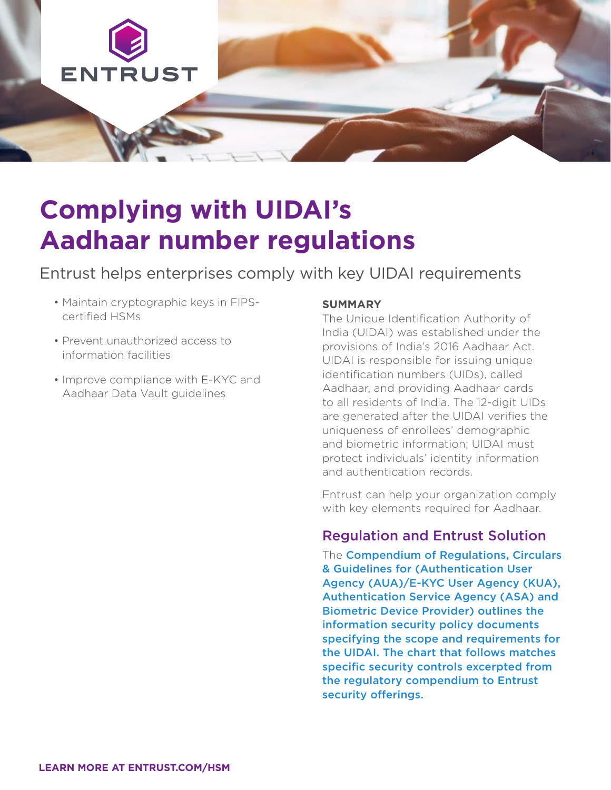

# **Complying with UIDAI's Aadhaar number regulations**

# Entrust helps enterprises comply with key UIDAI requirements

- Maintain cryptographic keys in FIPScertified HSMs
- Prevent unauthorized access to information facilities
- Improve compliance with E-KYC and Aadhaar Data Vault guidelines

## **SUMMARY**

The Unique Identification Authority of India (UIDAI) was established under the provisions of India's 2016 Aadhaar Act. UIDAI is responsible for issuing unique identification numbers (UIDs), called Aadhaar, and providing Aadhaar cards to all residents of India. The 12-digit UIDs are generated after the UIDAI verifies the uniqueness of enrollees' demographic and biometric information; UIDAI must protect individuals' identity information and authentication records.

Entrust can help your organization comply with key elements required for Aadhaar.

# Regulation and Entrust Solution

The Compendium of Regulations, Circulars & Guidelines for (Authentication User Agency (AUA)/E-KYC User Agency (KUA), Authentication Service Agency (ASA) and Biometric Device Provider) outlines the information security policy documents specifying the scope and requirements for the UIDAI. The chart that follows matches specific security controls excerpted from the regulatory compendium to Entrust security offerings.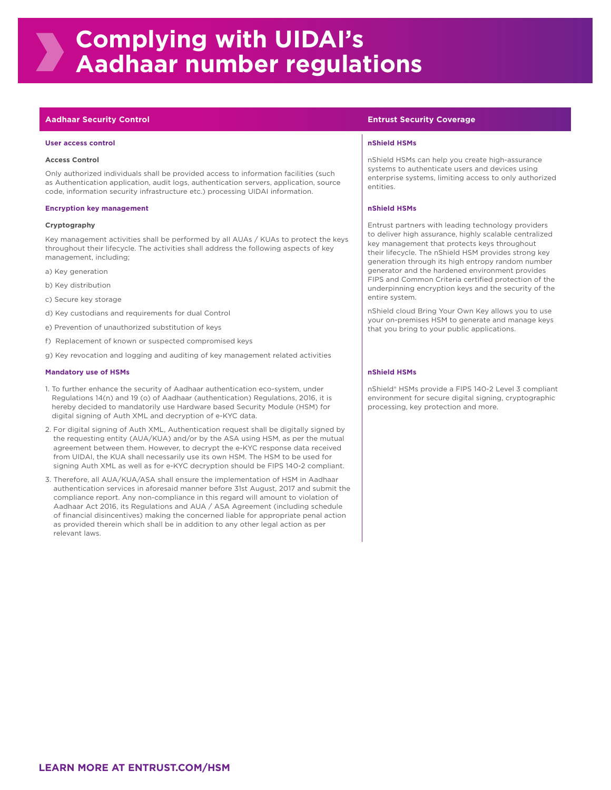### **Aadhaar Security Control Entrust Security Coverage**

### **User access control nShield HSMs**

### **Access Control**

Only authorized individuals shall be provided access to information facilities (such as Authentication application, audit logs, authentication servers, application, source code, information security infrastructure etc.) processing UIDAI information.

### **Encryption key management now the set of the set of the set of the set of the set of the set of the set of the set of the set of the set of the set of the set of the set of the set of the set of the set of the set of th**

### **Cryptography**

Key management activities shall be performed by all AUAs / KUAs to protect the keys throughout their lifecycle. The activities shall address the following aspects of key management, including;

- a) Key generation
- b) Key distribution
- c) Secure key storage
- d) Key custodians and requirements for dual Control
- e) Prevention of unauthorized substitution of keys
- f) Replacement of known or suspected compromised keys
- g) Key revocation and logging and auditing of key management related activities

### **Mandatory use of HSMs now the construction of the construction of the construction of the construction of the construction of the construction of the construction of the construction of the construction of the construct**

- 1. To further enhance the security of Aadhaar authentication eco-system, under Regulations 14(n) and 19 (o) of Aadhaar (authentication) Regulations, 2016, it is hereby decided to mandatorily use Hardware based Security Module (HSM) for digital signing of Auth XML and decryption of e-KYC data.
- 2. For digital signing of Auth XML, Authentication request shall be digitally signed by the requesting entity (AUA/KUA) and/or by the ASA using HSM, as per the mutual agreement between them. However, to decrypt the e-KYC response data received from UIDAI, the KUA shall necessarily use its own HSM. The HSM to be used for signing Auth XML as well as for e-KYC decryption should be FIPS 140-2 compliant.
- 3. Therefore, all AUA/KUA/ASA shall ensure the implementation of HSM in Aadhaar authentication services in aforesaid manner before 31st August, 2017 and submit the compliance report. Any non-compliance in this regard will amount to violation of Aadhaar Act 2016, its Regulations and AUA / ASA Agreement (including schedule of financial disincentives) making the concerned liable for appropriate penal action as provided therein which shall be in addition to any other legal action as per relevant laws.

nShield HSMs can help you create high-assurance systems to authenticate users and devices using enterprise systems, limiting access to only authorized entities.

Entrust partners with leading technology providers to deliver high assurance, highly scalable centralized key management that protects keys throughout their lifecycle. The nShield HSM provides strong key generation through its high entropy random number generator and the hardened environment provides FIPS and Common Criteria certified protection of the underpinning encryption keys and the security of the entire system.

nShield cloud Bring Your Own Key allows you to use your on-premises HSM to generate and manage keys that you bring to your public applications.

nShield® HSMs provide a FIPS 140-2 Level 3 compliant environment for secure digital signing, cryptographic processing, key protection and more.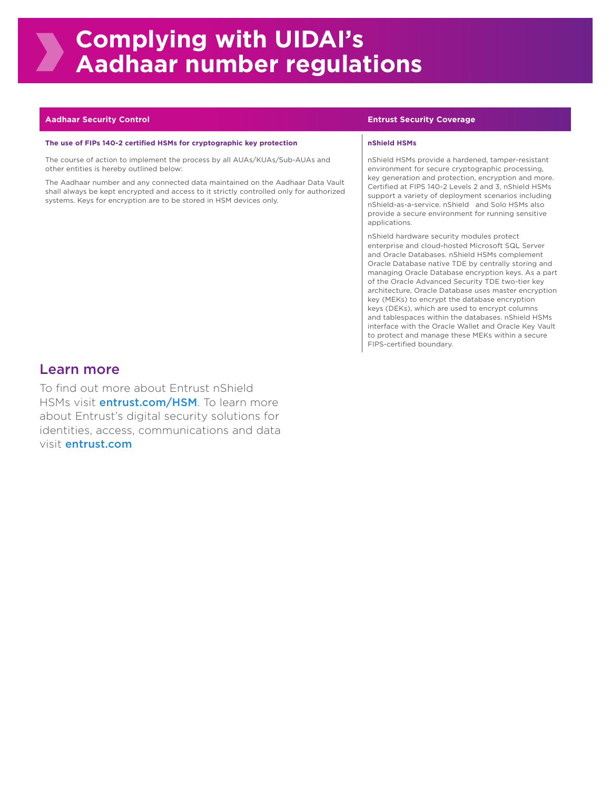### **Aadhaar Security Control Entrust Security Coverage**

### **The use of FIPs 140-2 certified HSMs for cryptographic key protection <b>now that ISMS** in Shield HSMs

The course of action to implement the process by all AUAs/KUAs/Sub-AUAs and other entities is hereby outlined below:

The Aadhaar number and any connected data maintained on the Aadhaar Data Vault shall always be kept encrypted and access to it strictly controlled only for authorized systems. Keys for encryption are to be stored in HSM devices only.

nShield HSMs provide a hardened, tamper-resistant environment for secure cryptographic processing, key generation and protection, encryption and more. Certified at FIPS 140-2 Levels 2 and 3, nShield HSMs support a variety of deployment scenarios including nShield-as-a-service. nShield and Solo HSMs also provide a secure environment for running sensitive applications.

nShield hardware security modules protect enterprise and cloud-hosted Microsoft SQL Server and Oracle Databases. nShield HSMs complement Oracle Database native TDE by centrally storing and managing Oracle Database encryption keys. As a part of the Oracle Advanced Security TDE two-tier key architecture, Oracle Database uses master encryption key (MEKs) to encrypt the database encryption keys (DEKs), which are used to encrypt columns and tablespaces within the databases. nShield HSMs interface with the Oracle Wallet and Oracle Key Vault to protect and manage these MEKs within a secure FIPS-certified boundary.

# Learn more

To find out more about Entrust nShield HSMs visit *entrust.com/HSM*. To learn more about Entrust's digital security solutions for identities, access, communications and data visit entrust.com